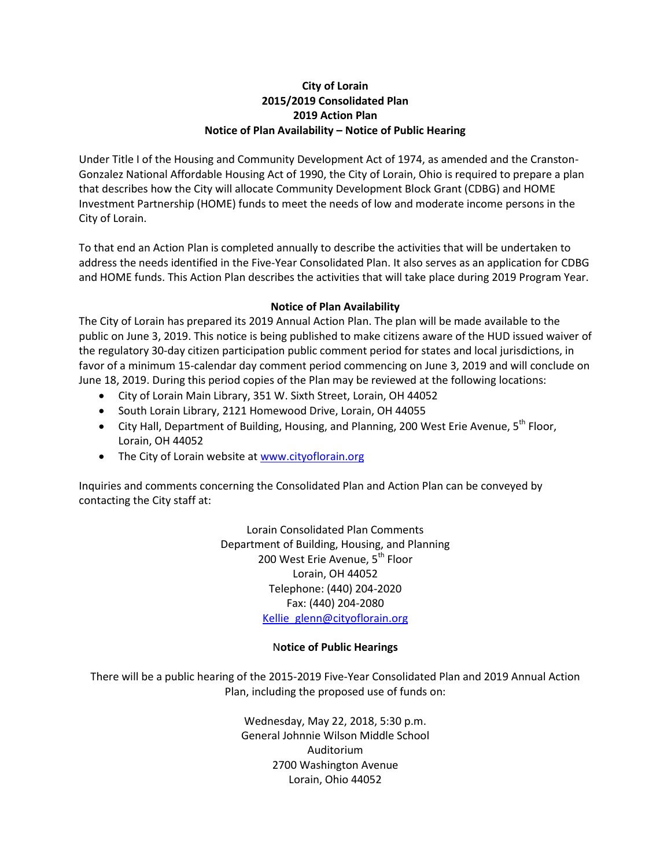## **City of Lorain 2015/2019 Consolidated Plan 2019 Action Plan Notice of Plan Availability – Notice of Public Hearing**

Under Title I of the Housing and Community Development Act of 1974, as amended and the Cranston-Gonzalez National Affordable Housing Act of 1990, the City of Lorain, Ohio is required to prepare a plan that describes how the City will allocate Community Development Block Grant (CDBG) and HOME Investment Partnership (HOME) funds to meet the needs of low and moderate income persons in the City of Lorain.

To that end an Action Plan is completed annually to describe the activities that will be undertaken to address the needs identified in the Five-Year Consolidated Plan. It also serves as an application for CDBG and HOME funds. This Action Plan describes the activities that will take place during 2019 Program Year.

## **Notice of Plan Availability**

The City of Lorain has prepared its 2019 Annual Action Plan. The plan will be made available to the public on June 3, 2019. This notice is being published to make citizens aware of the HUD issued waiver of the regulatory 30-day citizen participation public comment period for states and local jurisdictions, in favor of a minimum 15-calendar day comment period commencing on June 3, 2019 and will conclude on June 18, 2019. During this period copies of the Plan may be reviewed at the following locations:

- City of Lorain Main Library, 351 W. Sixth Street, Lorain, OH 44052
- South Lorain Library, 2121 Homewood Drive, Lorain, OH 44055
- City Hall, Department of Building, Housing, and Planning, 200 West Erie Avenue, 5<sup>th</sup> Floor, Lorain, OH 44052
- The City of Lorain website a[t www.cityoflorain.org](http://www.cityoflorain.org/)

Inquiries and comments concerning the Consolidated Plan and Action Plan can be conveyed by contacting the City staff at:

> Lorain Consolidated Plan Comments Department of Building, Housing, and Planning 200 West Erie Avenue, 5<sup>th</sup> Floor Lorain, OH 44052 Telephone: (440) 204-2020 Fax: (440) 204-2080 [Kellie\\_glenn@cityoflorain.org](mailto:Kellie_glenn@cityoflorain.org)

## N**otice of Public Hearings**

There will be a public hearing of the 2015-2019 Five-Year Consolidated Plan and 2019 Annual Action Plan, including the proposed use of funds on:

> Wednesday, May 22, 2018, 5:30 p.m. General Johnnie Wilson Middle School Auditorium 2700 Washington Avenue Lorain, Ohio 44052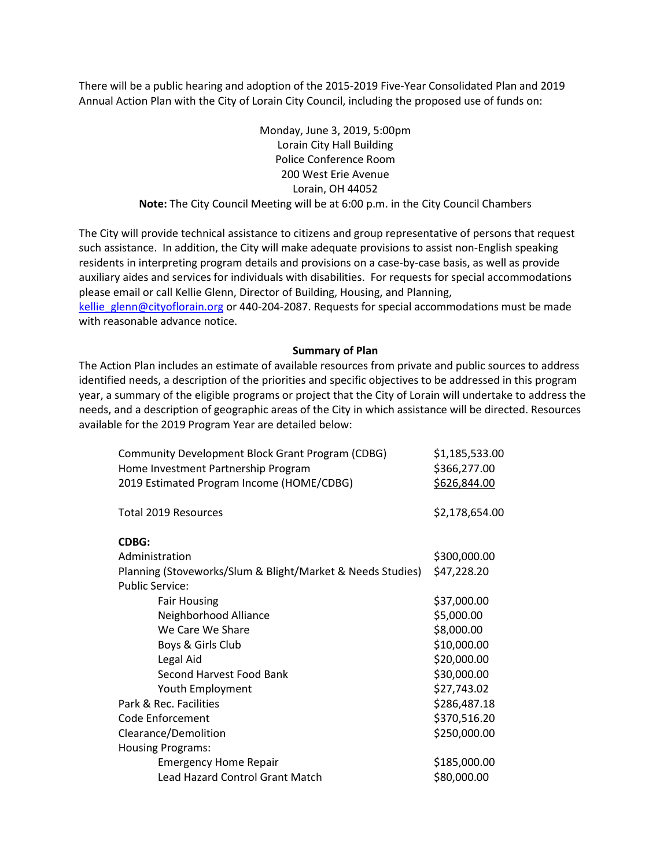There will be a public hearing and adoption of the 2015-2019 Five-Year Consolidated Plan and 2019 Annual Action Plan with the City of Lorain City Council, including the proposed use of funds on:

> Monday, June 3, 2019, 5:00pm Lorain City Hall Building Police Conference Room 200 West Erie Avenue Lorain, OH 44052 **Note:** The City Council Meeting will be at 6:00 p.m. in the City Council Chambers

The City will provide technical assistance to citizens and group representative of persons that request such assistance. In addition, the City will make adequate provisions to assist non-English speaking residents in interpreting program details and provisions on a case-by-case basis, as well as provide auxiliary aides and services for individuals with disabilities. For requests for special accommodations please email or call Kellie Glenn, Director of Building, Housing, and Planning, [kellie\\_glenn@cityoflorain.org](mailto:kellie_glenn@cityoflorain.org) or 440-204-2087. Requests for special accommodations must be made with reasonable advance notice.

## **Summary of Plan**

The Action Plan includes an estimate of available resources from private and public sources to address identified needs, a description of the priorities and specific objectives to be addressed in this program year, a summary of the eligible programs or project that the City of Lorain will undertake to address the needs, and a description of geographic areas of the City in which assistance will be directed. Resources available for the 2019 Program Year are detailed below:

| Community Development Block Grant Program (CDBG)<br>Home Investment Partnership Program | \$1,185,533.00<br>\$366,277.00 |
|-----------------------------------------------------------------------------------------|--------------------------------|
| 2019 Estimated Program Income (HOME/CDBG)                                               | \$626,844.00                   |
| <b>Total 2019 Resources</b>                                                             | \$2,178,654.00                 |
| <b>CDBG:</b>                                                                            |                                |
| Administration                                                                          | \$300,000.00                   |
| Planning (Stoveworks/Slum & Blight/Market & Needs Studies)                              | \$47,228.20                    |
| <b>Public Service:</b>                                                                  |                                |
| <b>Fair Housing</b>                                                                     | \$37,000.00                    |
| Neighborhood Alliance                                                                   | \$5,000.00                     |
| We Care We Share                                                                        | \$8,000.00                     |
| Boys & Girls Club                                                                       | \$10,000.00                    |
| Legal Aid                                                                               | \$20,000.00                    |
| Second Harvest Food Bank                                                                | \$30,000.00                    |
| Youth Employment                                                                        | \$27,743.02                    |
| Park & Rec. Facilities                                                                  | \$286,487.18                   |
| Code Enforcement                                                                        | \$370,516.20                   |
| Clearance/Demolition                                                                    | \$250,000.00                   |
| <b>Housing Programs:</b>                                                                |                                |
| <b>Emergency Home Repair</b>                                                            | \$185,000.00                   |
| <b>Lead Hazard Control Grant Match</b>                                                  | \$80,000.00                    |